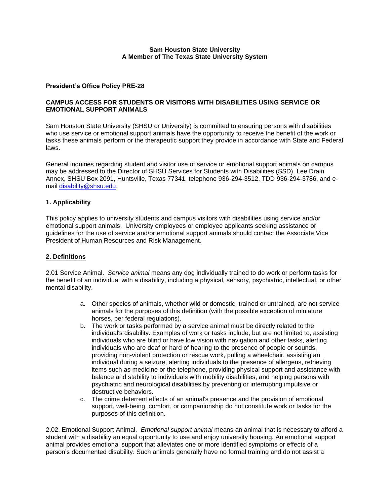# **President's Office Policy PRE-28**

### **CAMPUS ACCESS FOR STUDENTS OR VISITORS WITH DISABILITIES USING SERVICE OR EMOTIONAL SUPPORT ANIMALS**

Sam Houston State University (SHSU or University) is committed to ensuring persons with disabilities who use service or emotional support animals have the opportunity to receive the benefit of the work or tasks these animals perform or the therapeutic support they provide in accordance with State and Federal laws.

General inquiries regarding student and visitor use of service or emotional support animals on campus may be addressed to the Director of SHSU Services for Students with Disabilities (SSD), Lee Drain Annex, SHSU Box 2091, Huntsville, Texas 77341, telephone 936-294-3512, TDD 936-294-3786, and email [disability@shsu.edu.](mailto:disability@shsu.edu)

# **1. Applicability**

This policy applies to university students and campus visitors with disabilities using service and/or emotional support animals. University employees or employee applicants seeking assistance or guidelines for the use of service and/or emotional support animals should contact the Associate Vice President of Human Resources and Risk Management.

### **2. Definitions**

2.01 Service Animal. *Service animal* means any dog individually trained to do work or perform tasks for the benefit of an individual with a disability, including a physical, sensory, psychiatric, intellectual, or other mental disability.

- a. Other species of animals, whether wild or domestic, trained or untrained, are not service animals for the purposes of this definition (with the possible exception of miniature horses, per federal regulations).
- b. The work or tasks performed by a service animal must be directly related to the individual's disability. Examples of work or tasks include, but are not limited to, assisting individuals who are blind or have low vision with navigation and other tasks, alerting individuals who are deaf or hard of hearing to the presence of people or sounds, providing non-violent protection or rescue work, pulling a wheelchair, assisting an individual during a seizure, alerting individuals to the presence of allergens, retrieving items such as medicine or the telephone, providing physical support and assistance with balance and stability to individuals with mobility disabilities, and helping persons with psychiatric and neurological disabilities by preventing or interrupting impulsive or destructive behaviors.
- c. The crime deterrent effects of an animal's presence and the provision of emotional support, well-being, comfort, or companionship do not constitute work or tasks for the purposes of this definition.

2.02. Emotional Support Animal. *Emotional support animal* means an animal that is necessary to afford a student with a disability an equal opportunity to use and enjoy university housing. An emotional support animal provides emotional support that alleviates one or more identified symptoms or effects of a person's documented disability. Such animals generally have no formal training and do not assist a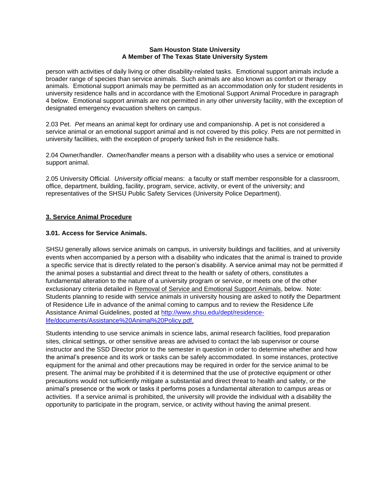person with activities of daily living or other disability-related tasks. Emotional support animals include a broader range of species than service animals. Such animals are also known as comfort or therapy animals. Emotional support animals may be permitted as an accommodation only for student residents in university residence halls and in accordance with the Emotional Support Animal Procedure in paragraph 4 below. Emotional support animals are not permitted in any other university facility, with the exception of designated emergency evacuation shelters on campus.

2.03 Pet. *Pet* means an animal kept for ordinary use and companionship. A pet is not considered a service animal or an emotional support animal and is not covered by this policy. Pets are not permitted in university facilities, with the exception of properly tanked fish in the residence halls.

2.04 Owner/handler. *Owner/handler* means a person with a disability who uses a service or emotional support animal.

2.05 University Official. *University official* means: a faculty or staff member responsible for a classroom, office, department, building, facility, program, service, activity, or event of the university; and representatives of the SHSU Public Safety Services (University Police Department).

# **3. Service Animal Procedure**

# **3.01. Access for Service Animals.**

SHSU generally allows service animals on campus, in university buildings and facilities, and at university events when accompanied by a person with a disability who indicates that the animal is trained to provide a specific service that is directly related to the person's disability. A service animal may not be permitted if the animal poses a substantial and direct threat to the health or safety of others, constitutes a fundamental alteration to the nature of a university program or service, or meets one of the other exclusionary criteria detailed in Removal of Service and Emotional Support Animals, below. Note: Students planning to reside with service animals in university housing are asked to notify the Department of Residence Life in advance of the animal coming to campus and to review the Residence Life Assistance Animal Guidelines, posted at [http://www.shsu.edu/dept/residence](http://www.shsu.edu/dept/residence-life/documents/Assistance%20Animal%20Policy.pdf)[life/documents/Assistance%20Animal%20Policy.pdf.](http://www.shsu.edu/dept/residence-life/documents/Assistance%20Animal%20Policy.pdf)

Students intending to use service animals in science labs, animal research facilities, food preparation sites, clinical settings, or other sensitive areas are advised to contact the lab supervisor or course instructor and the SSD Director prior to the semester in question in order to determine whether and how the animal's presence and its work or tasks can be safely accommodated. In some instances, protective equipment for the animal and other precautions may be required in order for the service animal to be present. The animal may be prohibited if it is determined that the use of protective equipment or other precautions would not sufficiently mitigate a substantial and direct threat to health and safety, or the animal's presence or the work or tasks it performs poses a fundamental alteration to campus areas or activities. If a service animal is prohibited, the university will provide the individual with a disability the opportunity to participate in the program, service, or activity without having the animal present.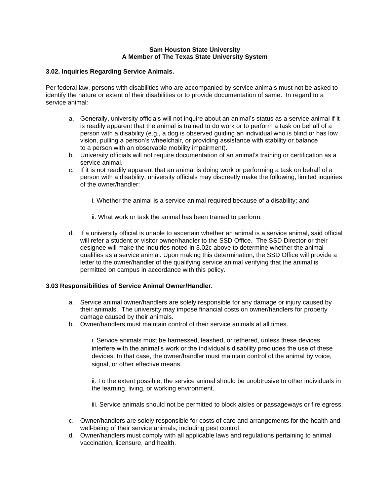### **3.02. Inquiries Regarding Service Animals.**

Per federal law, persons with disabilities who are accompanied by service animals must not be asked to identify the nature or extent of their disabilities or to provide documentation of same. In regard to a service animal:

- a. Generally, university officials will not inquire about an animal's status as a service animal if it is readily apparent that the animal is trained to do work or to perform a task on behalf of a person with a disability (e.g., a dog is observed guiding an individual who is blind or has low vision, pulling a person's wheelchair, or providing assistance with stability or balance to a person with an observable mobility impairment).
- b. University officials will not require documentation of an animal's training or certification as a service animal.
- c. If it is not readily apparent that an animal is doing work or performing a task on behalf of a person with a disability, university officials may discreetly make the following, limited inquiries of the owner/handler:
	- i. Whether the animal is a service animal required because of a disability; and
	- ii. What work or task the animal has been trained to perform.
- d. If a university official is unable to ascertain whether an animal is a service animal, said official will refer a student or visitor owner/handler to the SSD Office. The SSD Director or their designee will make the inquiries noted in 3.02c above to determine whether the animal qualifies as a service animal. Upon making this determination, the SSD Office will provide a letter to the owner/handler of the qualifying service animal verifying that the animal is permitted on campus in accordance with this policy.

### **3.03 Responsibilities of Service Animal Owner/Handler.**

- a. Service animal owner/handlers are solely responsible for any damage or injury caused by their animals. The university may impose financial costs on owner/handlers for property damage caused by their animals.
- b. Owner/handlers must maintain control of their service animals at all times.

i. Service animals must be harnessed, leashed, or tethered, unless these devices interfere with the animal's work or the individual's disability precludes the use of these devices. In that case, the owner/handler must maintain control of the animal by voice, signal, or other effective means.

ii. To the extent possible, the service animal should be unobtrusive to other individuals in the learning, living, or working environment.

iii. Service animals should not be permitted to block aisles or passageways or fire egress.

- c. Owner/handlers are solely responsible for costs of care and arrangements for the health and well-being of their service animals, including pest control.
- d. Owner/handlers must comply with all applicable laws and regulations pertaining to animal vaccination, licensure, and health.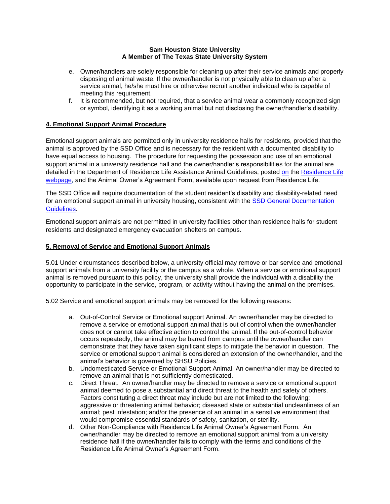- e. Owner/handlers are solely responsible for cleaning up after their service animals and properly disposing of animal waste. If the owner/handler is not physically able to clean up after a service animal, he/she must hire or otherwise recruit another individual who is capable of meeting this requirement.
- f. It is recommended, but not required, that a service animal wear a commonly recognized sign or symbol, identifying it as a working animal but not disclosing the owner/handler's disability.

# **4. Emotional Support Animal Procedure**

Emotional support animals are permitted only in university residence halls for residents, provided that the animal is approved by the SSD Office and is necessary for the resident with a documented disability to have equal access to housing. The procedure for requesting the possession and use of an emotional support animal in a university residence hall and the owner/handler's responsibilities for the animal are detailed in the Department of Residence Life Assistance Animal Guidelines, posted [on](file:///C:/Users/ksp036/AppData/Local/Microsoft/Windows/INetCache/Content.Outlook/H0H5OWQY/on) the [Residence Life](https://www.shsu.edu/dept/residence-life/)  [webpage,](https://www.shsu.edu/dept/residence-life/) and the Animal Owner's Agreement Form, available upon request from Residence Life.

The SSD Office will require documentation of the student resident's disability and disability-related need for an emotional support animal in university housing, consistent with the [SSD General Documentation](https://www.shsu.edu/dept/disability/general-documentation.html)  [Guidelines.](https://www.shsu.edu/dept/disability/general-documentation.html) 

Emotional support animals are not permitted in university facilities other than residence halls for student residents and designated emergency evacuation shelters on campus.

# **5. Removal of Service and Emotional Support Animals**

5.01 Under circumstances described below, a university official may remove or bar service and emotional support animals from a university facility or the campus as a whole. When a service or emotional support animal is removed pursuant to this policy, the university shall provide the individual with a disability the opportunity to participate in the service, program, or activity without having the animal on the premises.

5.02 Service and emotional support animals may be removed for the following reasons:

- a. Out-of-Control Service or Emotional support Animal. An owner/handler may be directed to remove a service or emotional support animal that is out of control when the owner/handler does not or cannot take effective action to control the animal. If the out-of-control behavior occurs repeatedly, the animal may be barred from campus until the owner/handler can demonstrate that they have taken significant steps to mitigate the behavior in question. The service or emotional support animal is considered an extension of the owner/handler, and the animal's behavior is governed by SHSU Policies.
- b. Undomesticated Service or Emotional Support Animal. An owner/handler may be directed to remove an animal that is not sufficiently domesticated.
- c. Direct Threat. An owner/handler may be directed to remove a service or emotional support animal deemed to pose a substantial and direct threat to the health and safety of others. Factors constituting a direct threat may include but are not limited to the following: aggressive or threatening animal behavior; diseased state or substantial uncleanliness of an animal; pest infestation; and/or the presence of an animal in a sensitive environment that would compromise essential standards of safety, sanitation, or sterility.
- d. Other Non-Compliance with Residence Life Animal Owner's Agreement Form. An owner/handler may be directed to remove an emotional support animal from a university residence hall if the owner/handler fails to comply with the terms and conditions of the Residence Life Animal Owner's Agreement Form.